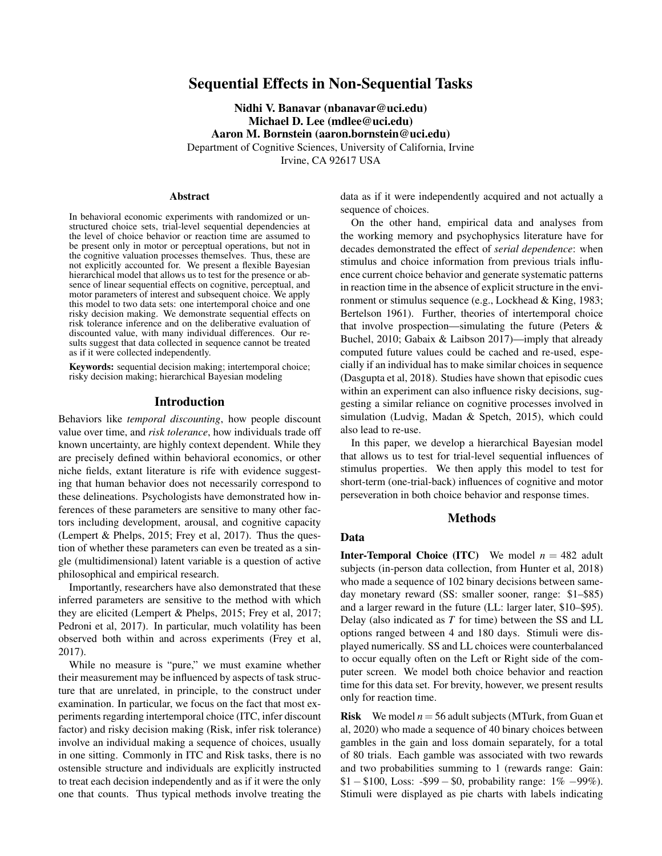# Sequential Effects in Non-Sequential Tasks

Nidhi V. Banavar (nbanavar@uci.edu) Michael D. Lee (mdlee@uci.edu) Aaron M. Bornstein (aaron.bornstein@uci.edu) Department of Cognitive Sciences, University of California, Irvine Irvine, CA 92617 USA

#### Abstract

In behavioral economic experiments with randomized or unstructured choice sets, trial-level sequential dependencies at the level of choice behavior or reaction time are assumed to be present only in motor or perceptual operations, but not in the cognitive valuation processes themselves. Thus, these are not explicitly accounted for. We present a flexible Bayesian hierarchical model that allows us to test for the presence or absence of linear sequential effects on cognitive, perceptual, and motor parameters of interest and subsequent choice. We apply this model to two data sets: one intertemporal choice and one risky decision making. We demonstrate sequential effects on risk tolerance inference and on the deliberative evaluation of discounted value, with many individual differences. Our results suggest that data collected in sequence cannot be treated as if it were collected independently.

Keywords: sequential decision making; intertemporal choice; risky decision making; hierarchical Bayesian modeling

#### Introduction

Behaviors like *temporal discounting*, how people discount value over time, and *risk tolerance*, how individuals trade off known uncertainty, are highly context dependent. While they are precisely defined within behavioral economics, or other niche fields, extant literature is rife with evidence suggesting that human behavior does not necessarily correspond to these delineations. Psychologists have demonstrated how inferences of these parameters are sensitive to many other factors including development, arousal, and cognitive capacity (Lempert & Phelps, 2015; Frey et al, 2017). Thus the question of whether these parameters can even be treated as a single (multidimensional) latent variable is a question of active philosophical and empirical research.

Importantly, researchers have also demonstrated that these inferred parameters are sensitive to the method with which they are elicited (Lempert & Phelps, 2015; Frey et al, 2017; Pedroni et al, 2017). In particular, much volatility has been observed both within and across experiments (Frey et al, 2017).

While no measure is "pure," we must examine whether their measurement may be influenced by aspects of task structure that are unrelated, in principle, to the construct under examination. In particular, we focus on the fact that most experiments regarding intertemporal choice (ITC, infer discount factor) and risky decision making (Risk, infer risk tolerance) involve an individual making a sequence of choices, usually in one sitting. Commonly in ITC and Risk tasks, there is no ostensible structure and individuals are explicitly instructed to treat each decision independently and as if it were the only one that counts. Thus typical methods involve treating the data as if it were independently acquired and not actually a sequence of choices.

On the other hand, empirical data and analyses from the working memory and psychophysics literature have for decades demonstrated the effect of *serial dependence*: when stimulus and choice information from previous trials influence current choice behavior and generate systematic patterns in reaction time in the absence of explicit structure in the environment or stimulus sequence (e.g., Lockhead & King, 1983; Bertelson 1961). Further, theories of intertemporal choice that involve prospection—simulating the future (Peters & Buchel, 2010; Gabaix & Laibson 2017)—imply that already computed future values could be cached and re-used, especially if an individual has to make similar choices in sequence (Dasgupta et al, 2018). Studies have shown that episodic cues within an experiment can also influence risky decisions, suggesting a similar reliance on cognitive processes involved in simulation (Ludvig, Madan & Spetch, 2015), which could also lead to re-use.

In this paper, we develop a hierarchical Bayesian model that allows us to test for trial-level sequential influences of stimulus properties. We then apply this model to test for short-term (one-trial-back) influences of cognitive and motor perseveration in both choice behavior and response times.

#### Methods

### Data

**Inter-Temporal Choice (ITC)** We model  $n = 482$  adult subjects (in-person data collection, from Hunter et al, 2018) who made a sequence of 102 binary decisions between sameday monetary reward (SS: smaller sooner, range: \$1–\$85) and a larger reward in the future (LL: larger later, \$10–\$95). Delay (also indicated as *T* for time) between the SS and LL options ranged between 4 and 180 days. Stimuli were displayed numerically. SS and LL choices were counterbalanced to occur equally often on the Left or Right side of the computer screen. We model both choice behavior and reaction time for this data set. For brevity, however, we present results only for reaction time.

**Risk** We model  $n = 56$  adult subjects (MTurk, from Guan et al, 2020) who made a sequence of 40 binary choices between gambles in the gain and loss domain separately, for a total of 80 trials. Each gamble was associated with two rewards and two probabilities summing to 1 (rewards range: Gain:  $$1 - $100$ , Loss: -\$99 − \$0, probability range:  $1\% -99\%$ ). Stimuli were displayed as pie charts with labels indicating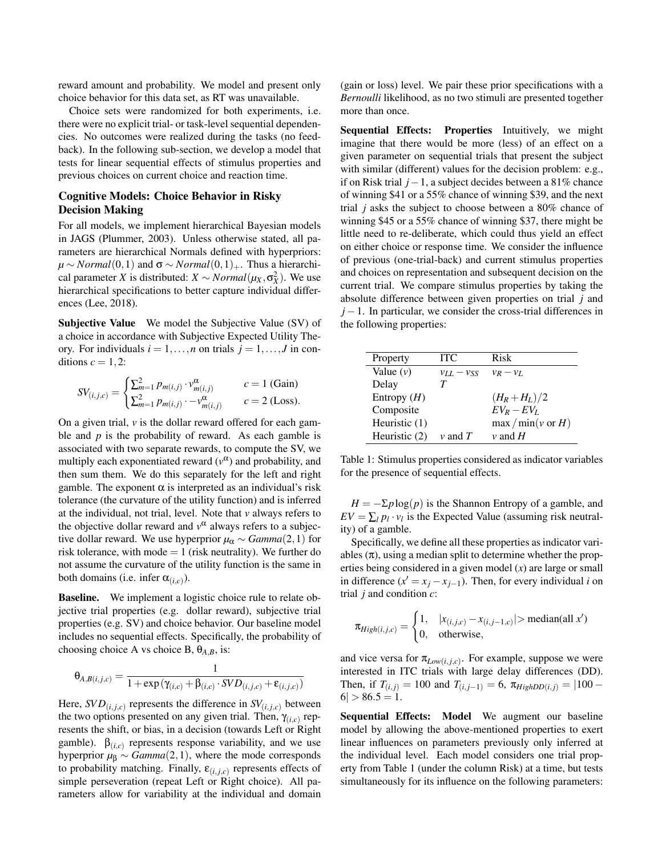reward amount and probability. We model and present only choice behavior for this data set, as RT was unavailable.

Choice sets were randomized for both experiments, i.e. there were no explicit trial- or task-level sequential dependencies. No outcomes were realized during the tasks (no feedback). In the following sub-section, we develop a model that tests for linear sequential effects of stimulus properties and previous choices on current choice and reaction time.

# Cognitive Models: Choice Behavior in Risky Decision Making

For all models, we implement hierarchical Bayesian models in JAGS (Plummer, 2003). Unless otherwise stated, all parameters are hierarchical Normals defined with hyperpriors:  $\mu \sim Normal(0,1)$  and  $\sigma \sim Normal(0,1)_+$ . Thus a hierarchical parameter *X* is distributed: *X* ∼ *Normal*( $\mu_X$ , $\sigma_X^2$ ). We use hierarchical specifications to better capture individual differences (Lee, 2018).

Subjective Value We model the Subjective Value (SV) of a choice in accordance with Subjective Expected Utility Theory. For individuals  $i = 1, \ldots, n$  on trials  $j = 1, \ldots, J$  in conditions  $c = 1, 2$ :

$$
SV_{(i,j,c)} = \begin{cases} \sum_{m=1}^{2} p_{m(i,j)} \cdot v_{m(i,j)}^{\alpha} & c = 1 \text{ (Gain)}\\ \sum_{m=1}^{2} p_{m(i,j)} \cdot -v_{m(i,j)}^{\alpha} & c = 2 \text{ (Loss)}. \end{cases}
$$

On a given trial,  $\nu$  is the dollar reward offered for each gamble and *p* is the probability of reward. As each gamble is associated with two separate rewards, to compute the SV, we multiply each exponentiated reward  $(v^{\alpha})$  and probability, and then sum them. We do this separately for the left and right gamble. The exponent  $\alpha$  is interpreted as an individual's risk tolerance (the curvature of the utility function) and is inferred at the individual, not trial, level. Note that *v* always refers to the objective dollar reward and  $v^{\alpha}$  always refers to a subjective dollar reward. We use hyperprior  $\mu_{\alpha} \sim \text{Gamma}(2,1)$  for risk tolerance, with mode  $= 1$  (risk neutrality). We further do not assume the curvature of the utility function is the same in both domains (i.e. infer  $\alpha_{(i,c)}$ ).

**Baseline.** We implement a logistic choice rule to relate objective trial properties (e.g. dollar reward), subjective trial properties (e.g. SV) and choice behavior. Our baseline model includes no sequential effects. Specifically, the probability of choosing choice A vs choice B,  $\theta_{A,B}$ , is:

$$
\theta_{A,B(i,j,c)} = \frac{1}{1 + \exp(\gamma_{(i,c)} + \beta_{(i,c)} \cdot SVD_{(i,j,c)} + \varepsilon_{(i,j,c)})}
$$

Here,  $SVD_{(i,j,c)}$  represents the difference in  $SV_{(i,j,c)}$  between the two options presented on any given trial. Then,  $\gamma_{(i,c)}$  represents the shift, or bias, in a decision (towards Left or Right gamble).  $\beta_{(i,c)}$  represents response variability, and we use hyperprior  $\mu_{\beta} \sim \text{Gamma}(2,1)$ , where the mode corresponds to probability matching. Finally,  $\varepsilon_{(i,j,c)}$  represents effects of simple perseveration (repeat Left or Right choice). All parameters allow for variability at the individual and domain (gain or loss) level. We pair these prior specifications with a *Bernoulli* likelihood, as no two stimuli are presented together more than once.

Sequential Effects: Properties Intuitively, we might imagine that there would be more (less) of an effect on a given parameter on sequential trials that present the subject with similar (different) values for the decision problem: e.g., if on Risk trial *j*−1, a subject decides between a 81% chance of winning \$41 or a 55% chance of winning \$39, and the next trial *j* asks the subject to choose between a 80% chance of winning \$45 or a 55% chance of winning \$37, there might be little need to re-deliberate, which could thus yield an effect on either choice or response time. We consider the influence of previous (one-trial-back) and current stimulus properties and choices on representation and subsequent decision on the current trial. We compare stimulus properties by taking the absolute difference between given properties on trial *j* and  $j-1$ . In particular, we consider the cross-trial differences in the following properties:

| Property        | <b>ITC</b>        | Risk                         |
|-----------------|-------------------|------------------------------|
| Value $(v)$     | $v_{LL} - v_{SS}$ | $v_R - v_L$                  |
| Delay           | $\bm{\tau}$       |                              |
| Entropy $(H)$   |                   | $(H_R + H_L)/2$              |
| Composite       |                   | $EV_{R}-EV_{I}$              |
| Heuristic $(1)$ |                   | $\max/\min(v \text{ or } H)$ |
| Heuristic (2)   | $\nu$ and $T$     | $\nu$ and H                  |

Table 1: Stimulus properties considered as indicator variables for the presence of sequential effects.

 $H = -\Sigma p \log(p)$  is the Shannon Entropy of a gamble, and  $EV = \sum_l p_l \cdot v_l$  is the Expected Value (assuming risk neutrality) of a gamble.

Specifically, we define all these properties as indicator variables  $(\pi)$ , using a median split to determine whether the properties being considered in a given model (*x*) are large or small in difference  $(x' = x_j - x_{j-1})$ . Then, for every individual *i* on trial *j* and condition *c*:

$$
\pi_{High(i,j,c)} = \begin{cases} 1, & |x_{(i,j,c)} - x_{(i,j-1,c)}| > \text{median}(\text{all } x')\\ 0, & \text{otherwise,} \end{cases}
$$

and vice versa for  $\pi_{Low(i, j, c)}$ . For example, suppose we were interested in ITC trials with large delay differences (DD). Then, if  $T_{(i,j)} = 100$  and  $T_{(i,j-1)} = 6$ ,  $\pi_{HighDD(i,j)} = |100 6| > 86.5 = 1.$ 

Sequential Effects: Model We augment our baseline model by allowing the above-mentioned properties to exert linear influences on parameters previously only inferred at the individual level. Each model considers one trial property from Table 1 (under the column Risk) at a time, but tests simultaneously for its influence on the following parameters: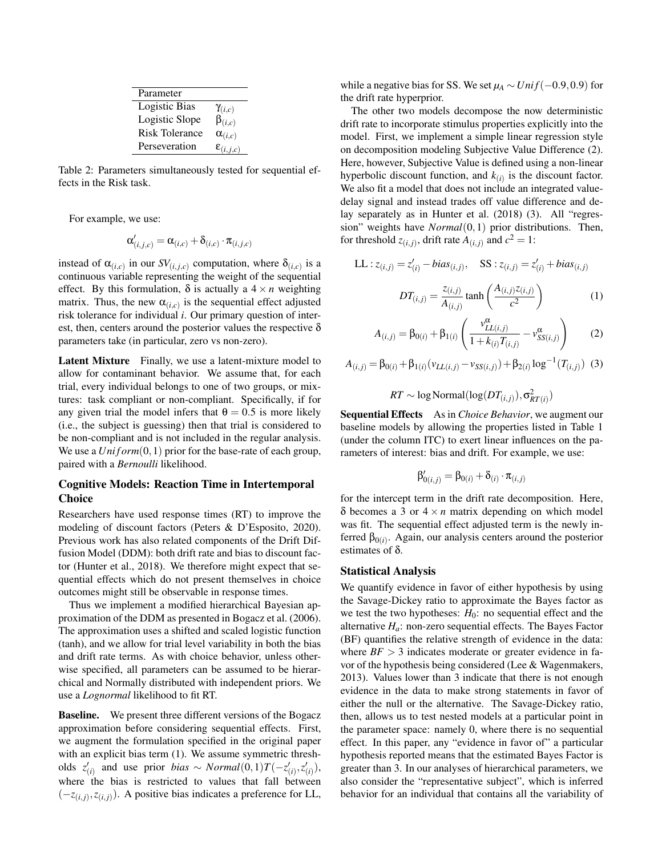| Parameter             |                      |
|-----------------------|----------------------|
| Logistic Bias         | $\gamma_{(i,c)}$     |
| Logistic Slope        | $\beta_{(i,c)}$      |
| <b>Risk Tolerance</b> | $\alpha_{(i,c)}$     |
| Perseveration         | $\epsilon_{(i,j,c)}$ |

Table 2: Parameters simultaneously tested for sequential effects in the Risk task.

For example, we use:

$$
\alpha'_{(i,j,c)} = \alpha_{(i,c)} + \delta_{(i,c)} \cdot \pi_{(i,j,c)}
$$

instead of  $\alpha_{(i,c)}$  in our  $SV_{(i,j,c)}$  computation, where  $\delta_{(i,c)}$  is a continuous variable representing the weight of the sequential effect. By this formulation,  $\delta$  is actually a  $4 \times n$  weighting matrix. Thus, the new  $\alpha_{(i,c)}$  is the sequential effect adjusted risk tolerance for individual *i*. Our primary question of interest, then, centers around the posterior values the respective  $\delta$ parameters take (in particular, zero vs non-zero).

Latent Mixture Finally, we use a latent-mixture model to allow for contaminant behavior. We assume that, for each trial, every individual belongs to one of two groups, or mixtures: task compliant or non-compliant. Specifically, if for any given trial the model infers that  $\theta = 0.5$  is more likely (i.e., the subject is guessing) then that trial is considered to be non-compliant and is not included in the regular analysis. We use a  $Uniform(0,1)$  prior for the base-rate of each group, paired with a *Bernoulli* likelihood.

## Cognitive Models: Reaction Time in Intertemporal **Choice**

Researchers have used response times (RT) to improve the modeling of discount factors (Peters & D'Esposito, 2020). Previous work has also related components of the Drift Diffusion Model (DDM): both drift rate and bias to discount factor (Hunter et al., 2018). We therefore might expect that sequential effects which do not present themselves in choice outcomes might still be observable in response times.

Thus we implement a modified hierarchical Bayesian approximation of the DDM as presented in Bogacz et al. (2006). The approximation uses a shifted and scaled logistic function (tanh), and we allow for trial level variability in both the bias and drift rate terms. As with choice behavior, unless otherwise specified, all parameters can be assumed to be hierarchical and Normally distributed with independent priors. We use a *Lognormal* likelihood to fit RT.

Baseline. We present three different versions of the Bogacz approximation before considering sequential effects. First, we augment the formulation specified in the original paper with an explicit bias term (1). We assume symmetric thresholds  $z'_{(i)}$  and use prior *bias* ~ *Normal*(0,1)*T*(−*z*<sub>(*i*)</sub>,*z*<sub>(*i*)</sub>), where the bias is restricted to values that fall between  $(-z_{(i,j)}, z_{(i,j)})$ . A positive bias indicates a preference for LL, while a negative bias for SS. We set  $\mu_A \sim Unif(-0.9, 0.9)$  for the drift rate hyperprior.

The other two models decompose the now deterministic drift rate to incorporate stimulus properties explicitly into the model. First, we implement a simple linear regression style on decomposition modeling Subjective Value Difference (2). Here, however, Subjective Value is defined using a non-linear hyperbolic discount function, and  $k(i)$  is the discount factor. We also fit a model that does not include an integrated valuedelay signal and instead trades off value difference and delay separately as in Hunter et al. (2018) (3). All "regression" weights have *Normal*(0,1) prior distributions. Then, for threshold  $z_{(i,j)}$ , drift rate  $A_{(i,j)}$  and  $c^2 = 1$ :

LL: 
$$
z_{(i,j)} = z'_{(i)} - bias_{(i,j)},
$$
 SS:  $z_{(i,j)} = z'_{(i)} + bias_{(i,j)}$   

$$
DT_{(i,j)} = \frac{z_{(i,j)}}{A_{(i,j)}} \tanh\left(\frac{A_{(i,j)}z_{(i,j)}}{c^2}\right)
$$
(1)

$$
A_{(i,j)} = \beta_{0(i)} + \beta_{1(i)} \left( \frac{v_{LL(i,j)}^{\alpha}}{1 + k_{(i)} T_{(i,j)}} - v_{SS(i,j)}^{\alpha} \right)
$$
 (2)

$$
A_{(i,j)} = \beta_{0(i)} + \beta_{1(i)} (v_{LL(i,j)} - v_{SS(i,j)}) + \beta_{2(i)} \log^{-1}(T_{(i,j)})
$$
 (3)

$$
RT \sim \log \text{Normal}(\log(DT_{(i,j)}), \sigma^2_{RT(i)})
$$

Sequential Effects As in *Choice Behavior*, we augment our baseline models by allowing the properties listed in Table 1 (under the column ITC) to exert linear influences on the parameters of interest: bias and drift. For example, we use:

$$
\beta'_{0(i,j)} = \beta_{0(i)} + \delta_{(i)} \cdot \pi_{(i,j)}
$$

for the intercept term in the drift rate decomposition. Here,  $\delta$  becomes a 3 or  $4 \times n$  matrix depending on which model was fit. The sequential effect adjusted term is the newly inferred  $β<sub>0(i)</sub>$ . Again, our analysis centers around the posterior estimates of δ.

### Statistical Analysis

We quantify evidence in favor of either hypothesis by using the Savage-Dickey ratio to approximate the Bayes factor as we test the two hypotheses:  $H_0$ : no sequential effect and the alternative *Ha*: non-zero sequential effects. The Bayes Factor (BF) quantifies the relative strength of evidence in the data: where  $BF > 3$  indicates moderate or greater evidence in favor of the hypothesis being considered (Lee & Wagenmakers, 2013). Values lower than 3 indicate that there is not enough evidence in the data to make strong statements in favor of either the null or the alternative. The Savage-Dickey ratio, then, allows us to test nested models at a particular point in the parameter space: namely 0, where there is no sequential effect. In this paper, any "evidence in favor of" a particular hypothesis reported means that the estimated Bayes Factor is greater than 3. In our analyses of hierarchical parameters, we also consider the "representative subject", which is inferred behavior for an individual that contains all the variability of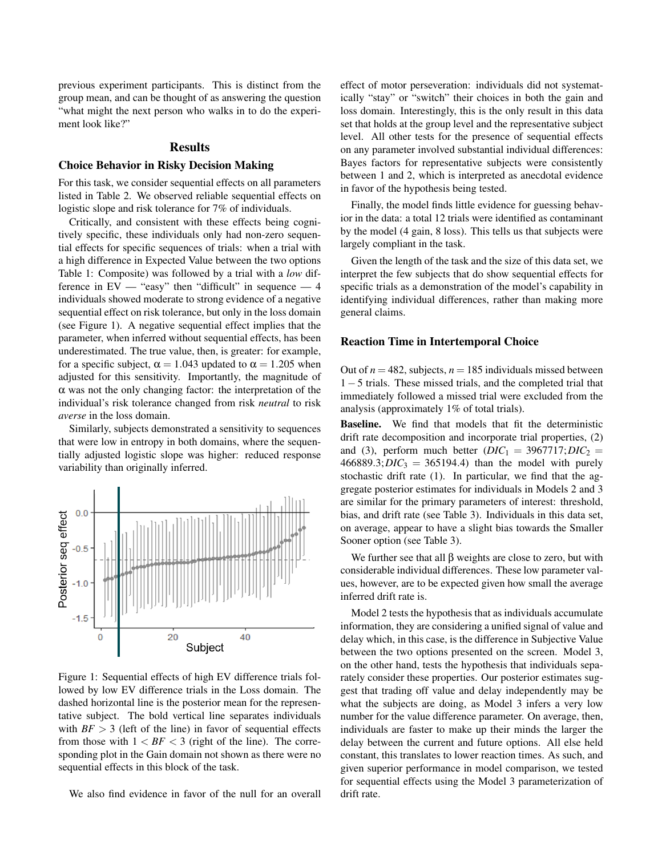previous experiment participants. This is distinct from the group mean, and can be thought of as answering the question "what might the next person who walks in to do the experiment look like?"

#### Results

### Choice Behavior in Risky Decision Making

For this task, we consider sequential effects on all parameters listed in Table 2. We observed reliable sequential effects on logistic slope and risk tolerance for 7% of individuals.

Critically, and consistent with these effects being cognitively specific, these individuals only had non-zero sequential effects for specific sequences of trials: when a trial with a high difference in Expected Value between the two options Table 1: Composite) was followed by a trial with a *low* difference in  $EV -$  "easy" then "difficult" in sequence  $-4$ individuals showed moderate to strong evidence of a negative sequential effect on risk tolerance, but only in the loss domain (see Figure 1). A negative sequential effect implies that the parameter, when inferred without sequential effects, has been underestimated. The true value, then, is greater: for example, for a specific subject,  $\alpha = 1.043$  updated to  $\alpha = 1.205$  when adjusted for this sensitivity. Importantly, the magnitude of  $\alpha$  was not the only changing factor: the interpretation of the individual's risk tolerance changed from risk *neutral* to risk *averse* in the loss domain.

Similarly, subjects demonstrated a sensitivity to sequences that were low in entropy in both domains, where the sequentially adjusted logistic slope was higher: reduced response variability than originally inferred.



Figure 1: Sequential effects of high EV difference trials followed by low EV difference trials in the Loss domain. The dashed horizontal line is the posterior mean for the representative subject. The bold vertical line separates individuals with  $BF > 3$  (left of the line) in favor of sequential effects from those with  $1 < BF < 3$  (right of the line). The corresponding plot in the Gain domain not shown as there were no sequential effects in this block of the task.

We also find evidence in favor of the null for an overall

effect of motor perseveration: individuals did not systematically "stay" or "switch" their choices in both the gain and loss domain. Interestingly, this is the only result in this data set that holds at the group level and the representative subject level. All other tests for the presence of sequential effects on any parameter involved substantial individual differences: Bayes factors for representative subjects were consistently between 1 and 2, which is interpreted as anecdotal evidence in favor of the hypothesis being tested.

Finally, the model finds little evidence for guessing behavior in the data: a total 12 trials were identified as contaminant by the model (4 gain, 8 loss). This tells us that subjects were largely compliant in the task.

Given the length of the task and the size of this data set, we interpret the few subjects that do show sequential effects for specific trials as a demonstration of the model's capability in identifying individual differences, rather than making more general claims.

#### Reaction Time in Intertemporal Choice

Out of  $n = 482$ , subjects,  $n = 185$  individuals missed between 1−5 trials. These missed trials, and the completed trial that immediately followed a missed trial were excluded from the analysis (approximately 1% of total trials).

Baseline. We find that models that fit the deterministic drift rate decomposition and incorporate trial properties, (2) and (3), perform much better  $(DIC_1 = 3967717; DIC_2 =$  $466889.3; *DIC*<sub>3</sub> = 365194.4)$  than the model with purely stochastic drift rate (1). In particular, we find that the aggregate posterior estimates for individuals in Models 2 and 3 are similar for the primary parameters of interest: threshold, bias, and drift rate (see Table 3). Individuals in this data set, on average, appear to have a slight bias towards the Smaller Sooner option (see Table 3).

We further see that all  $\beta$  weights are close to zero, but with considerable individual differences. These low parameter values, however, are to be expected given how small the average inferred drift rate is.

Model 2 tests the hypothesis that as individuals accumulate information, they are considering a unified signal of value and delay which, in this case, is the difference in Subjective Value between the two options presented on the screen. Model 3, on the other hand, tests the hypothesis that individuals separately consider these properties. Our posterior estimates suggest that trading off value and delay independently may be what the subjects are doing, as Model 3 infers a very low number for the value difference parameter. On average, then, individuals are faster to make up their minds the larger the delay between the current and future options. All else held constant, this translates to lower reaction times. As such, and given superior performance in model comparison, we tested for sequential effects using the Model 3 parameterization of drift rate.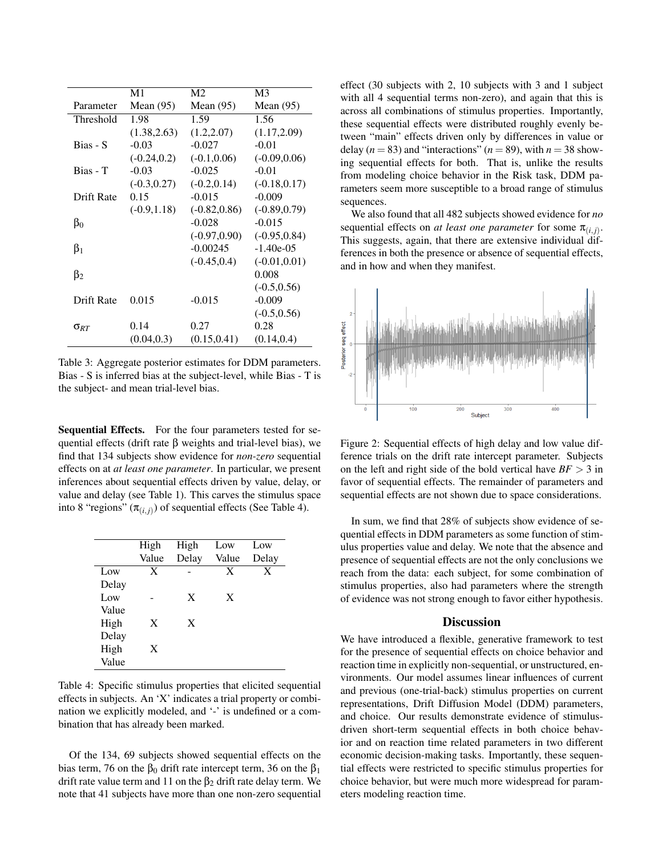|                        | M1             | M <sub>2</sub>  | M <sub>3</sub>  |
|------------------------|----------------|-----------------|-----------------|
| Parameter              | Mean $(95)$    | Mean $(95)$     | Mean $(95)$     |
| Threshold              | 1.98           | 1.59            | 1.56            |
|                        | (1.38, 2.63)   | (1.2, 2.07)     | (1.17, 2.09)    |
| Bias - S               | $-0.03$        | $-0.027$        | $-0.01$         |
|                        | $(-0.24, 0.2)$ | $(-0.1, 0.06)$  | $(-0.09, 0.06)$ |
| Bias - T               | $-0.03$        | $-0.025$        | $-0.01$         |
|                        | $(-0.3, 0.27)$ | $(-0.2, 0.14)$  | $(-0.18, 0.17)$ |
| Drift Rate             | 0.15           | $-0.015$        | $-0.009$        |
|                        | $(-0.9, 1.18)$ | $(-0.82, 0.86)$ | $(-0.89, 0.79)$ |
| $\beta_0$              |                | $-0.028$        | $-0.015$        |
|                        |                | $(-0.97, 0.90)$ | $(-0.95, 0.84)$ |
| $\beta_1$              |                | $-0.00245$      | $-1.40e-0.5$    |
|                        |                | $(-0.45, 0.4)$  | $(-0.01, 0.01)$ |
| $\beta_2$              |                |                 | 0.008           |
|                        |                |                 | $(-0.5, 0.56)$  |
| Drift Rate             | 0.015          | $-0.015$        | $-0.009$        |
|                        |                |                 | $(-0.5, 0.56)$  |
| $\sigma_{\mathit{RT}}$ | 0.14           | 0.27            | 0.28            |
|                        | (0.04, 0.3)    | (0.15, 0.41)    | (0.14, 0.4)     |

Table 3: Aggregate posterior estimates for DDM parameters. Bias - S is inferred bias at the subject-level, while Bias - T is the subject- and mean trial-level bias.

Sequential Effects. For the four parameters tested for sequential effects (drift rate β weights and trial-level bias), we find that 134 subjects show evidence for *non-zero* sequential effects on at *at least one parameter*. In particular, we present inferences about sequential effects driven by value, delay, or value and delay (see Table 1). This carves the stimulus space into 8 "regions"  $(\pi_{(i,j)})$  of sequential effects (See Table 4).

|       | High  | High  | Low   | Low   |
|-------|-------|-------|-------|-------|
|       | Value | Delay | Value | Delay |
| Low   | X     |       | X     | X     |
| Delay |       |       |       |       |
| Low   |       | X     | X     |       |
| Value |       |       |       |       |
| High  | X     | X     |       |       |
| Delay |       |       |       |       |
| High  | X     |       |       |       |
| Value |       |       |       |       |

Table 4: Specific stimulus properties that elicited sequential effects in subjects. An 'X' indicates a trial property or combination we explicitly modeled, and '-' is undefined or a combination that has already been marked.

Of the 134, 69 subjects showed sequential effects on the bias term, 76 on the  $\beta_0$  drift rate intercept term, 36 on the  $\beta_1$ drift rate value term and 11 on the  $\beta_2$  drift rate delay term. We note that 41 subjects have more than one non-zero sequential effect (30 subjects with 2, 10 subjects with 3 and 1 subject with all 4 sequential terms non-zero), and again that this is across all combinations of stimulus properties. Importantly, these sequential effects were distributed roughly evenly between "main" effects driven only by differences in value or delay ( $n = 83$ ) and "interactions" ( $n = 89$ ), with  $n = 38$  showing sequential effects for both. That is, unlike the results from modeling choice behavior in the Risk task, DDM parameters seem more susceptible to a broad range of stimulus sequences.

We also found that all 482 subjects showed evidence for *no* sequential effects on *at least one parameter* for some  $\pi_{(i,j)}$ . This suggests, again, that there are extensive individual differences in both the presence or absence of sequential effects, and in how and when they manifest.



Figure 2: Sequential effects of high delay and low value difference trials on the drift rate intercept parameter. Subjects on the left and right side of the bold vertical have  $BF > 3$  in favor of sequential effects. The remainder of parameters and sequential effects are not shown due to space considerations.

In sum, we find that 28% of subjects show evidence of sequential effects in DDM parameters as some function of stimulus properties value and delay. We note that the absence and presence of sequential effects are not the only conclusions we reach from the data: each subject, for some combination of stimulus properties, also had parameters where the strength of evidence was not strong enough to favor either hypothesis.

### **Discussion**

We have introduced a flexible, generative framework to test for the presence of sequential effects on choice behavior and reaction time in explicitly non-sequential, or unstructured, environments. Our model assumes linear influences of current and previous (one-trial-back) stimulus properties on current representations, Drift Diffusion Model (DDM) parameters, and choice. Our results demonstrate evidence of stimulusdriven short-term sequential effects in both choice behavior and on reaction time related parameters in two different economic decision-making tasks. Importantly, these sequential effects were restricted to specific stimulus properties for choice behavior, but were much more widespread for parameters modeling reaction time.